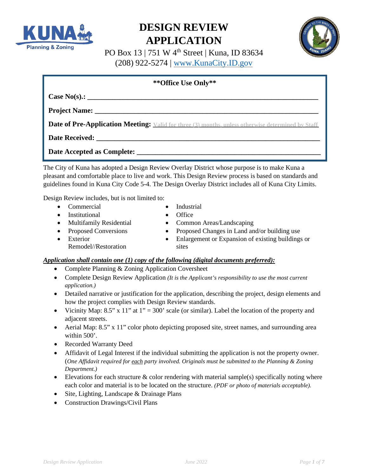



PO Box 13 | 751 W 4th Street | Kuna, ID 83634 (208) 922-5274 | [www.KunaCity.ID.gov](http://www.kunacity.id.gov/)

| ** Office Use Only**                                                                                           |  |  |  |
|----------------------------------------------------------------------------------------------------------------|--|--|--|
|                                                                                                                |  |  |  |
|                                                                                                                |  |  |  |
| <b>Date of Pre-Application Meeting:</b> Valid for three (3) months, unless otherwise determined by Staff       |  |  |  |
| Date Received: Network and the series of the series of the series of the series of the series of the series of |  |  |  |
|                                                                                                                |  |  |  |
| e City of Kung has adopted a Design Review Overlay District whose purpose is to make Kung a                    |  |  |  |

The City of Kuna has adopted a Design Review Overlay District whose purpose is to make Kuna a pleasant and comfortable place to live and work. This Design Review process is based on standards and guidelines found in Kuna City Code 5-4. The Design Overlay District includes all of Kuna City Limits.

Design Review includes, but is not limited to:

• Commercial • Industrial

**Planning & Zoning** 

- Institutional Office
- 
- 
- Exterior Remodel//Restoration
- Proposed Conversions Proposed Changes in Land and/or building use
	- Enlargement or Expansion of existing buildings or sites

# *Application shall contain one (1) copy of the following (digital documents preferred):*

- Complete Planning & Zoning Application Coversheet
- Complete Design Review Application *(It is the Applicant's responsibility to use the most current application.)*
- Detailed narrative or justification for the application, describing the project, design elements and how the project complies with Design Review standards.
- Vicinity Map: 8.5" x 11" at  $1" = 300'$  scale (or similar). Label the location of the property and adjacent streets.
- Aerial Map:  $8.5$ " x  $11$ " color photo depicting proposed site, street names, and surrounding area within 500'.
- Recorded Warranty Deed
- Affidavit of Legal Interest if the individual submitting the application is not the property owner. (*One Affidavit required for each party involved. Originals must be submitted to the Planning & Zoning Department.)*
- Elevations for each structure  $\&$  color rendering with material sample(s) specifically noting where each color and material is to be located on the structure. *(PDF or photo of materials acceptable).*
- Site, Lighting, Landscape & Drainage Plans
- Construction Drawings/Civil Plans

- 
- Multifamily Residential Common Areas/Landscaping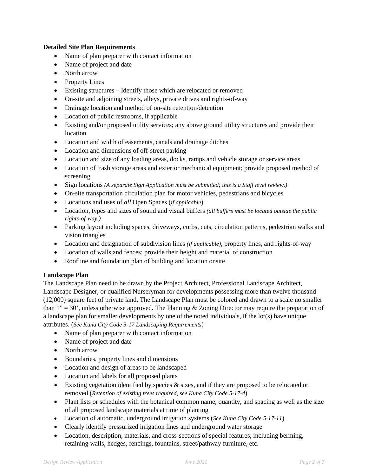# **Detailed Site Plan Requirements**

- Name of plan preparer with contact information
- Name of project and date
- North arrow
- Property Lines
- Existing structures Identify those which are relocated or removed
- On-site and adjoining streets, alleys, private drives and rights-of-way
- Drainage location and method of on-site retention/detention
- Location of public restrooms, if applicable
- Existing and/or proposed utility services; any above ground utility structures and provide their location
- Location and width of easements, canals and drainage ditches
- Location and dimensions of off-street parking
- Location and size of any loading areas, docks, ramps and vehicle storage or service areas
- Location of trash storage areas and exterior mechanical equipment; provide proposed method of screening
- Sign locations *(A separate Sign Application must be submitted; this is a Staff level review.)*
- On-site transportation circulation plan for motor vehicles, pedestrians and bicycles
- Locations and uses of *all* Open Spaces (*if applicable*)
- Location, types and sizes of sound and visual buffers *(all buffers must be located outside the public rights-of-way.)*
- Parking layout including spaces, driveways, curbs, cuts, circulation patterns, pedestrian walks and vision triangles
- Location and designation of subdivision lines *(if applicable)*, property lines, and rights-of-way
- Location of walls and fences; provide their height and material of construction
- Roofline and foundation plan of building and location onsite

# **Landscape Plan**

The Landscape Plan need to be drawn by the Project Architect, Professional Landscape Architect, Landscape Designer, or qualified Nurseryman for developments possessing more than twelve thousand (12,000) square feet of private land. The Landscape Plan must be colored and drawn to a scale no smaller than  $1" = 30'$ , unless otherwise approved. The Planning & Zoning Director may require the preparation of a landscape plan for smaller developments by one of the noted individuals, if the lot(s) have unique attributes. (*See Kuna City Code 5-17 Landscaping Requirements*)

- Name of plan preparer with contact information
- Name of project and date
- North arrow
- Boundaries, property lines and dimensions
- Location and design of areas to be landscaped
- Location and labels for all proposed plants
- Existing vegetation identified by species & sizes, and if they are proposed to be relocated or removed (*Retention of existing trees required, see Kuna City Code 5-17-4*)
- Plant lists or schedules with the botanical common name, quantity, and spacing as well as the size of all proposed landscape materials at time of planting
- Location of automatic, underground irrigation systems (*See Kuna City Code 5-17-11*)
- Clearly identify pressurized irrigation lines and underground water storage
- Location, description, materials, and cross-sections of special features, including berming, retaining walls, hedges, fencings, fountains, street/pathway furniture, etc.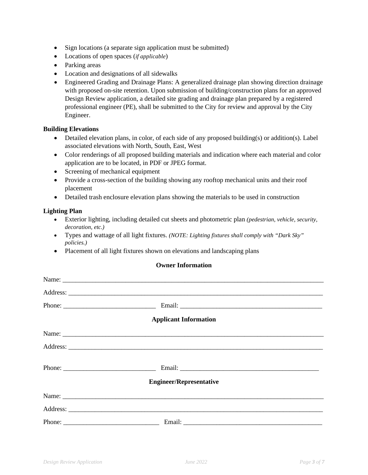- Sign locations (a separate sign application must be submitted)
- Locations of open spaces (*if applicable*)
- Parking areas
- Location and designations of all sidewalks
- Engineered Grading and Drainage Plans: A generalized drainage plan showing direction drainage with proposed on-site retention. Upon submission of building/construction plans for an approved Design Review application, a detailed site grading and drainage plan prepared by a registered professional engineer (PE), shall be submitted to the City for review and approval by the City Engineer.

#### **Building Elevations**

- Detailed elevation plans, in color, of each side of any proposed building(s) or addition(s). Label associated elevations with North, South, East, West
- Color renderings of all proposed building materials and indication where each material and color application are to be located, in PDF or JPEG format.
- Screening of mechanical equipment
- Provide a cross-section of the building showing any rooftop mechanical units and their roof placement
- Detailed trash enclosure elevation plans showing the materials to be used in construction

#### **Lighting Plan**

- Exterior lighting, including detailed cut sheets and photometric plan *(pedestrian, vehicle, security, decoration, etc.)*
- Types and wattage of all light fixtures. *(NOTE: Lighting fixtures shall comply with "Dark Sky" policies.)*
- Placement of all light fixtures shown on elevations and landscaping plans

# **Owner Information**

|                      | <b>Applicant Information</b>   |  |
|----------------------|--------------------------------|--|
|                      |                                |  |
|                      |                                |  |
| Phone: $\frac{1}{2}$ |                                |  |
|                      | <b>Engineer/Representative</b> |  |
|                      |                                |  |
|                      |                                |  |
|                      |                                |  |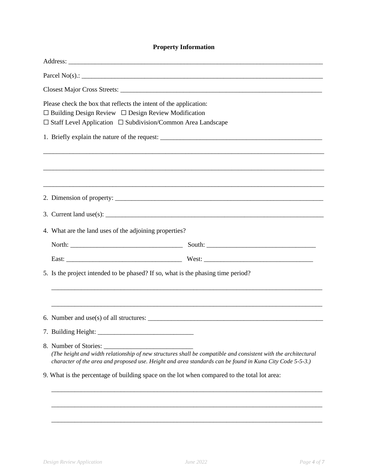# **Property Information**

| Please check the box that reflects the intent of the application:<br>$\Box$ Building Design Review $\Box$ Design Review Modification<br>$\Box$ Staff Level Application $\Box$ Subdivision/Common Area Landscape                                     |  |  |  |  |
|-----------------------------------------------------------------------------------------------------------------------------------------------------------------------------------------------------------------------------------------------------|--|--|--|--|
| 1. Briefly explain the nature of the request: ___________________________________                                                                                                                                                                   |  |  |  |  |
|                                                                                                                                                                                                                                                     |  |  |  |  |
|                                                                                                                                                                                                                                                     |  |  |  |  |
|                                                                                                                                                                                                                                                     |  |  |  |  |
|                                                                                                                                                                                                                                                     |  |  |  |  |
|                                                                                                                                                                                                                                                     |  |  |  |  |
| 4. What are the land uses of the adjoining properties?                                                                                                                                                                                              |  |  |  |  |
|                                                                                                                                                                                                                                                     |  |  |  |  |
|                                                                                                                                                                                                                                                     |  |  |  |  |
| 5. Is the project intended to be phased? If so, what is the phasing time period?                                                                                                                                                                    |  |  |  |  |
|                                                                                                                                                                                                                                                     |  |  |  |  |
|                                                                                                                                                                                                                                                     |  |  |  |  |
|                                                                                                                                                                                                                                                     |  |  |  |  |
|                                                                                                                                                                                                                                                     |  |  |  |  |
| 8. Number of Stories:<br>(The height and width relationship of new structures shall be compatible and consistent with the architectural<br>character of the area and proposed use. Height and area standards can be found in Kuna City Code 5-5-3.) |  |  |  |  |
| 9. What is the percentage of building space on the lot when compared to the total lot area:                                                                                                                                                         |  |  |  |  |
|                                                                                                                                                                                                                                                     |  |  |  |  |

\_\_\_\_\_\_\_\_\_\_\_\_\_\_\_\_\_\_\_\_\_\_\_\_\_\_\_\_\_\_\_\_\_\_\_\_\_\_\_\_\_\_\_\_\_\_\_\_\_\_\_\_\_\_\_\_\_\_\_\_\_\_\_\_\_\_\_\_\_\_\_\_\_\_\_\_\_\_\_\_\_\_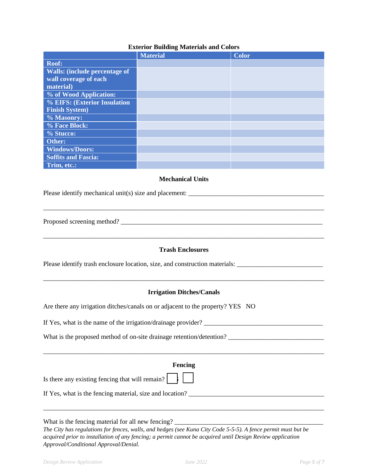# **Exterior Building Materials and Colors**

|                                      | <b>Material</b> | <b>Color</b> |
|--------------------------------------|-----------------|--------------|
| Roof:                                |                 |              |
| <b>Walls:</b> (include percentage of |                 |              |
| wall coverage of each                |                 |              |
| material)                            |                 |              |
| % of Wood Application:               |                 |              |
| % EIFS: (Exterior Insulation         |                 |              |
| <b>Finish System)</b>                |                 |              |
| % Masonry:                           |                 |              |
| % Face Block:                        |                 |              |
| % Stucco:                            |                 |              |
| Other:                               |                 |              |
| <b>Windows/Doors:</b>                |                 |              |
| <b>Soffits and Fascia:</b>           |                 |              |
| Trim, etc.:                          |                 |              |

#### **Mechanical Units**

\_\_\_\_\_\_\_\_\_\_\_\_\_\_\_\_\_\_\_\_\_\_\_\_\_\_\_\_\_\_\_\_\_\_\_\_\_\_\_\_\_\_\_\_\_\_\_\_\_\_\_\_\_\_\_\_\_\_\_\_\_\_\_\_\_\_\_\_\_\_\_\_\_\_\_\_\_\_\_\_\_\_\_\_\_

Please identify mechanical unit(s) size and placement: \_\_\_\_\_\_\_\_\_\_\_\_\_\_\_\_\_\_\_\_\_\_\_\_\_\_\_\_\_\_\_\_\_\_\_\_\_\_\_\_\_

Proposed screening method? \_\_\_\_\_\_\_\_\_\_\_\_\_\_\_\_\_\_\_\_\_\_\_\_\_\_\_\_\_\_\_\_\_\_\_\_\_\_\_\_\_\_\_\_\_\_\_\_\_\_\_\_\_\_\_\_\_\_\_\_\_

#### **Trash Enclosures**

\_\_\_\_\_\_\_\_\_\_\_\_\_\_\_\_\_\_\_\_\_\_\_\_\_\_\_\_\_\_\_\_\_\_\_\_\_\_\_\_\_\_\_\_\_\_\_\_\_\_\_\_\_\_\_\_\_\_\_\_\_\_\_\_\_\_\_\_\_\_\_\_\_\_\_\_\_\_\_\_\_\_\_\_\_

Please identify trash enclosure location, size, and construction materials: \_\_\_\_\_\_\_\_\_\_\_\_\_\_\_\_\_\_\_\_\_\_\_\_\_\_\_\_\_\_\_\_\_\_

# **Irrigation Ditches/Canals**

\_\_\_\_\_\_\_\_\_\_\_\_\_\_\_\_\_\_\_\_\_\_\_\_\_\_\_\_\_\_\_\_\_\_\_\_\_\_\_\_\_\_\_\_\_\_\_\_\_\_\_\_\_\_\_\_\_\_\_\_\_\_\_\_\_\_\_\_\_\_\_\_\_\_\_\_\_\_\_\_\_\_\_\_\_

Are there any irrigation ditches/canals on or adjacent to the property? YES NO If Yes, what is the name of the irrigation/drainage provider? \_\_\_\_\_\_\_\_\_\_\_\_\_\_\_\_\_\_\_\_\_\_\_\_\_\_\_\_\_\_\_\_\_\_\_\_ What is the proposed method of on-site drainage retention/detention? \_\_\_\_\_\_\_\_\_\_\_\_\_\_\_\_\_\_\_\_\_\_\_\_\_\_\_\_\_\_\_\_\_\_\_\_\_\_\_\_\_\_\_\_\_\_\_\_\_\_\_\_\_\_\_\_\_\_\_\_\_\_\_\_\_\_\_\_\_\_\_\_\_\_\_\_\_\_\_\_\_\_\_\_\_ **Fencing** Is there any existing fencing that will remain? If Yes, what is the fencing material, size and location? \_\_\_\_\_\_\_\_\_\_\_\_\_\_\_\_\_\_\_\_\_\_\_\_\_\_\_\_\_\_\_\_\_\_\_\_\_\_\_\_\_ \_\_\_\_\_\_\_\_\_\_\_\_\_\_\_\_\_\_\_\_\_\_\_\_\_\_\_\_\_\_\_\_\_\_\_\_\_\_\_\_\_\_\_\_\_\_\_\_\_\_\_\_\_\_\_\_\_\_\_\_\_\_\_\_\_\_\_\_\_\_\_\_\_\_\_\_\_\_\_\_\_\_\_\_\_ What is the fencing material for all new fencing? \_\_\_\_\_\_\_\_\_\_\_\_\_\_\_\_\_\_\_\_\_\_\_\_\_\_\_\_\_\_\_

*The City has regulations for fences, walls, and hedges (see Kuna City Code 5-5-5). A fence permit must but be acquired prior to installation of any fencing; a permit cannot be acquired until Design Review application Approval/Conditional Approval/Denial.*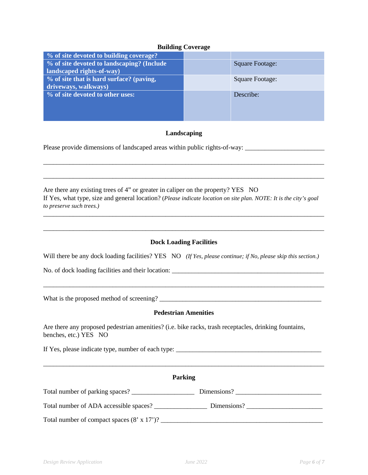### **Building Coverage**

| % of site devoted to building coverage?    |                        |
|--------------------------------------------|------------------------|
| % of site devoted to landscaping? (Include | <b>Square Footage:</b> |
| landscaped rights-of-way)                  |                        |
| % of site that is hard surface? (paving,   | <b>Square Footage:</b> |
| driveways, walkways)                       |                        |
| % of site devoted to other uses:           | Describe:              |
|                                            |                        |
|                                            |                        |
|                                            |                        |

# **Landscaping**

\_\_\_\_\_\_\_\_\_\_\_\_\_\_\_\_\_\_\_\_\_\_\_\_\_\_\_\_\_\_\_\_\_\_\_\_\_\_\_\_\_\_\_\_\_\_\_\_\_\_\_\_\_\_\_\_\_\_\_\_\_\_\_\_\_\_\_\_\_\_\_\_\_\_\_\_\_\_\_\_\_\_\_\_\_

\_\_\_\_\_\_\_\_\_\_\_\_\_\_\_\_\_\_\_\_\_\_\_\_\_\_\_\_\_\_\_\_\_\_\_\_\_\_\_\_\_\_\_\_\_\_\_\_\_\_\_\_\_\_\_\_\_\_\_\_\_\_\_\_\_\_\_\_\_\_\_\_\_\_\_\_\_\_\_\_\_\_\_\_\_

Please provide dimensions of landscaped areas within public rights-of-way: \_\_\_\_\_\_\_\_\_\_\_\_\_\_\_\_\_\_\_\_\_\_\_\_\_\_\_\_\_\_\_\_\_\_\_

Are there any existing trees of 4" or greater in caliper on the property? YES NO If Yes, what type, size and general location? (*Please indicate location on site plan. NOTE: It is the city's goal to preserve such trees.)*

# **Dock Loading Facilities**

\_\_\_\_\_\_\_\_\_\_\_\_\_\_\_\_\_\_\_\_\_\_\_\_\_\_\_\_\_\_\_\_\_\_\_\_\_\_\_\_\_\_\_\_\_\_\_\_\_\_\_\_\_\_\_\_\_\_\_\_\_\_\_\_\_\_\_\_\_\_\_\_\_\_\_\_\_\_\_\_\_\_\_\_\_

\_\_\_\_\_\_\_\_\_\_\_\_\_\_\_\_\_\_\_\_\_\_\_\_\_\_\_\_\_\_\_\_\_\_\_\_\_\_\_\_\_\_\_\_\_\_\_\_\_\_\_\_\_\_\_\_\_\_\_\_\_\_\_\_\_\_\_\_\_\_\_\_\_\_\_\_\_\_\_\_\_\_\_\_\_

Will there be any dock loading facilities? YES NO *(If Yes, please continue; if No, please skip this section.)* 

No. of dock loading facilities and their location: \_\_\_\_\_\_\_\_\_\_\_\_\_\_\_\_\_\_\_\_\_\_\_\_\_\_\_\_\_\_\_\_\_\_\_\_\_\_\_\_\_\_\_\_\_\_

What is the proposed method of screening? \_\_\_\_\_\_\_\_\_\_\_\_\_\_\_\_\_\_\_\_\_\_\_\_\_\_\_\_\_\_\_\_\_\_\_\_\_\_\_\_\_\_\_\_\_\_\_\_\_

#### **Pedestrian Amenities**

\_\_\_\_\_\_\_\_\_\_\_\_\_\_\_\_\_\_\_\_\_\_\_\_\_\_\_\_\_\_\_\_\_\_\_\_\_\_\_\_\_\_\_\_\_\_\_\_\_\_\_\_\_\_\_\_\_\_\_\_\_\_\_\_\_\_\_\_\_\_\_\_\_\_\_\_\_\_\_\_\_\_\_\_\_

Are there any proposed pedestrian amenities? (i.e. bike racks, trash receptacles, drinking fountains, benches, etc.) YES NO

If Yes, please indicate type, number of each type: \_\_\_\_\_\_\_\_\_\_\_\_\_\_\_\_\_\_\_\_\_\_\_\_\_\_\_\_\_\_\_\_\_\_\_\_\_\_\_\_\_\_\_\_

| <b>Parking</b>                                     |             |  |  |  |
|----------------------------------------------------|-------------|--|--|--|
|                                                    | Dimensions? |  |  |  |
|                                                    | Dimensions? |  |  |  |
| Total number of compact spaces $(8' \times 17')$ ? |             |  |  |  |